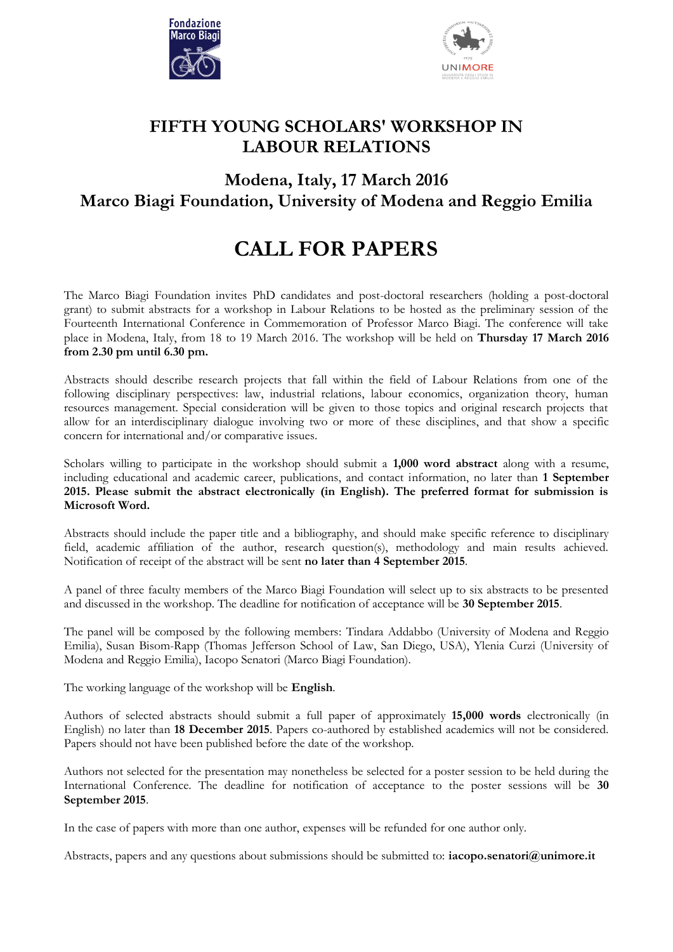



## **FIFTH YOUNG SCHOLARS' WORKSHOP IN LABOUR RELATIONS**

## **Modena, Italy, 17 March 2016 Marco Biagi Foundation, University of Modena and Reggio Emilia**

## **CALL FOR PAPERS**

The Marco Biagi Foundation invites PhD candidates and post-doctoral researchers (holding a post-doctoral grant) to submit abstracts for a workshop in Labour Relations to be hosted as the preliminary session of the Fourteenth International Conference in Commemoration of Professor Marco Biagi. The conference will take place in Modena, Italy, from 18 to 19 March 2016. The workshop will be held on **Thursday 17 March 2016 from 2.30 pm until 6.30 pm.**

Abstracts should describe research projects that fall within the field of Labour Relations from one of the following disciplinary perspectives: law, industrial relations, labour economics, organization theory, human resources management. Special consideration will be given to those topics and original research projects that allow for an interdisciplinary dialogue involving two or more of these disciplines, and that show a specific concern for international and/or comparative issues.

Scholars willing to participate in the workshop should submit a **1,000 word abstract** along with a resume, including educational and academic career, publications, and contact information, no later than **1 September 2015. Please submit the abstract electronically (in English). The preferred format for submission is Microsoft Word.**

Abstracts should include the paper title and a bibliography, and should make specific reference to disciplinary field, academic affiliation of the author, research question(s), methodology and main results achieved. Notification of receipt of the abstract will be sent **no later than 4 September 2015**.

A panel of three faculty members of the Marco Biagi Foundation will select up to six abstracts to be presented and discussed in the workshop. The deadline for notification of acceptance will be **30 September 2015**.

The panel will be composed by the following members: Tindara Addabbo (University of Modena and Reggio Emilia), Susan Bisom-Rapp (Thomas Jefferson School of Law, San Diego, USA), Ylenia Curzi (University of Modena and Reggio Emilia), Iacopo Senatori (Marco Biagi Foundation).

The working language of the workshop will be **English**.

Authors of selected abstracts should submit a full paper of approximately **15,000 words** electronically (in English) no later than **18 December 2015**. Papers co-authored by established academics will not be considered. Papers should not have been published before the date of the workshop.

Authors not selected for the presentation may nonetheless be selected for a poster session to be held during the International Conference. The deadline for notification of acceptance to the poster sessions will be **30 September 2015**.

In the case of papers with more than one author, expenses will be refunded for one author only.

Abstracts, papers and any questions about submissions should be submitted to: **[iacopo.senatori@unimore.it](mailto:iacopo.senatori@unimore.it)**